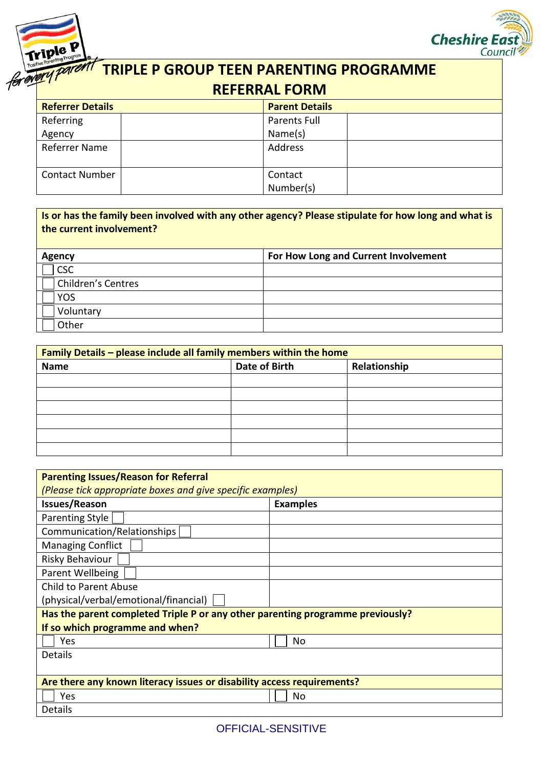



## **TRIPLE P GROUP TEEN PARENTING PROGRAMME REFERRAL FORM**

| <b>Referrer Details</b> |  | <b>Parent Details</b> |  |
|-------------------------|--|-----------------------|--|
| Referring               |  | Parents Full          |  |
| Agency                  |  | Name(s)               |  |
| Referrer Name           |  | Address               |  |
|                         |  |                       |  |
| <b>Contact Number</b>   |  | Contact               |  |
|                         |  | Number(s)             |  |

## **Is or has the family been involved with any other agency? Please stipulate for how long and what is the current involvement?**

| <b>Agency</b>             | For How Long and Current Involvement |
|---------------------------|--------------------------------------|
| <b>CSC</b>                |                                      |
| <b>Children's Centres</b> |                                      |
| <b>YOS</b>                |                                      |
| Voluntary                 |                                      |
| Other                     |                                      |

| Family Details - please include all family members within the home |               |              |  |
|--------------------------------------------------------------------|---------------|--------------|--|
| <b>Name</b>                                                        | Date of Birth | Relationship |  |
|                                                                    |               |              |  |
|                                                                    |               |              |  |
|                                                                    |               |              |  |
|                                                                    |               |              |  |
|                                                                    |               |              |  |
|                                                                    |               |              |  |

| <b>Parenting Issues/Reason for Referral</b>                                    |                 |  |  |
|--------------------------------------------------------------------------------|-----------------|--|--|
| (Please tick appropriate boxes and give specific examples)                     |                 |  |  |
| <b>Issues/Reason</b>                                                           | <b>Examples</b> |  |  |
| <b>Parenting Style</b>                                                         |                 |  |  |
| Communication/Relationships                                                    |                 |  |  |
| <b>Managing Conflict</b>                                                       |                 |  |  |
| Risky Behaviour                                                                |                 |  |  |
| Parent Wellbeing                                                               |                 |  |  |
| <b>Child to Parent Abuse</b>                                                   |                 |  |  |
| (physical/verbal/emotional/financial)                                          |                 |  |  |
| Has the parent completed Triple P or any other parenting programme previously? |                 |  |  |
| If so which programme and when?                                                |                 |  |  |
| Yes                                                                            | No              |  |  |
| <b>Details</b>                                                                 |                 |  |  |
|                                                                                |                 |  |  |
| Are there any known literacy issues or disability access requirements?         |                 |  |  |
| Yes                                                                            | No              |  |  |
| <b>Details</b>                                                                 |                 |  |  |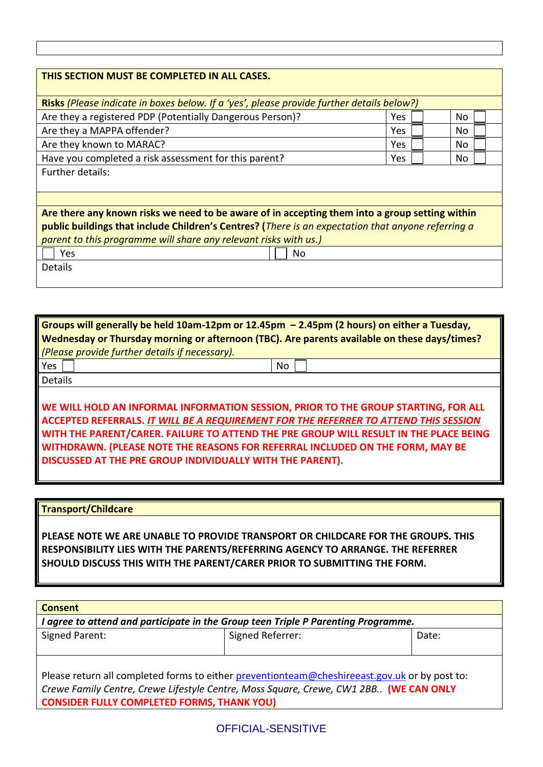| THIS SECTION MUST BE COMPLETED IN ALL CASES.                                                       |     |     |  |
|----------------------------------------------------------------------------------------------------|-----|-----|--|
|                                                                                                    |     |     |  |
| Risks (Please indicate in boxes below. If a 'yes', please provide further details below?)          |     |     |  |
| Are they a registered PDP (Potentially Dangerous Person)?                                          | Yes | No  |  |
| Are they a MAPPA offender?                                                                         | Yes | No. |  |
| Are they known to MARAC?                                                                           | Yes | No. |  |
| Have you completed a risk assessment for this parent?                                              | Yes | No. |  |
| Further details:                                                                                   |     |     |  |
|                                                                                                    |     |     |  |
|                                                                                                    |     |     |  |
| Are there any known risks we need to be aware of in accepting them into a group setting within     |     |     |  |
| public buildings that include Children's Centres? (There is an expectation that anyone referring a |     |     |  |
| parent to this programme will share any relevant risks with us.)                                   |     |     |  |
| Yes<br>No                                                                                          |     |     |  |
| Details                                                                                            |     |     |  |
|                                                                                                    |     |     |  |
|                                                                                                    |     |     |  |

| Groups will generally be held 10am-12pm or 12.45pm $-$ 2.45pm (2 hours) on either a Tuesday, |    |  |  |
|----------------------------------------------------------------------------------------------|----|--|--|
| Wednesday or Thursday morning or afternoon (TBC). Are parents available on these days/times? |    |  |  |
| (Please provide further details if necessary).                                               |    |  |  |
| Yes                                                                                          | No |  |  |
| <b>Details</b>                                                                               |    |  |  |
|                                                                                              |    |  |  |
| WE WILL HOLD AN INFORMAL INFORMATION SESSION, PRIOR TO THE GROUP STARTING, FOR ALL           |    |  |  |
| ACCEPTED REFERRALS. IT WILL BE A REQUIREMENT FOR THE REFERRER TO ATTEND THIS SESSION         |    |  |  |
| WITH THE PARENT/CARER. FAILURE TO ATTEND THE PRE GROUP WILL RESULT IN THE PLACE BEING        |    |  |  |
| WITHDRAWN. (PLEASE NOTE THE REASONS FOR REFERRAL INCLUDED ON THE FORM, MAY BE                |    |  |  |
| DISCUSSED AT THE PRE GROUP INDIVIDUALLY WITH THE PARENT).                                    |    |  |  |

**Transport/Childcare**

**PLEASE NOTE WE ARE UNABLE TO PROVIDE TRANSPORT OR CHILDCARE FOR THE GROUPS. THIS RESPONSIBILITY LIES WITH THE PARENTS/REFERRING AGENCY TO ARRANGE. THE REFERRER SHOULD DISCUSS THIS WITH THE PARENT/CARER PRIOR TO SUBMITTING THE FORM.** 

| <b>Consent</b>                                                                                |                  |       |  |
|-----------------------------------------------------------------------------------------------|------------------|-------|--|
| I agree to attend and participate in the Group teen Triple P Parenting Programme.             |                  |       |  |
| Signed Parent:                                                                                | Signed Referrer: | Date: |  |
|                                                                                               |                  |       |  |
|                                                                                               |                  |       |  |
| Please return all completed forms to either preventionteam@cheshireeast.gov.uk or by post to: |                  |       |  |
| Crewe Family Centre, Crewe Lifestyle Centre, Moss Square, Crewe, CW1 2BB (WE CAN ONLY         |                  |       |  |
| <b>CONSIDER FULLY COMPLETED FORMS, THANK YOU)</b>                                             |                  |       |  |